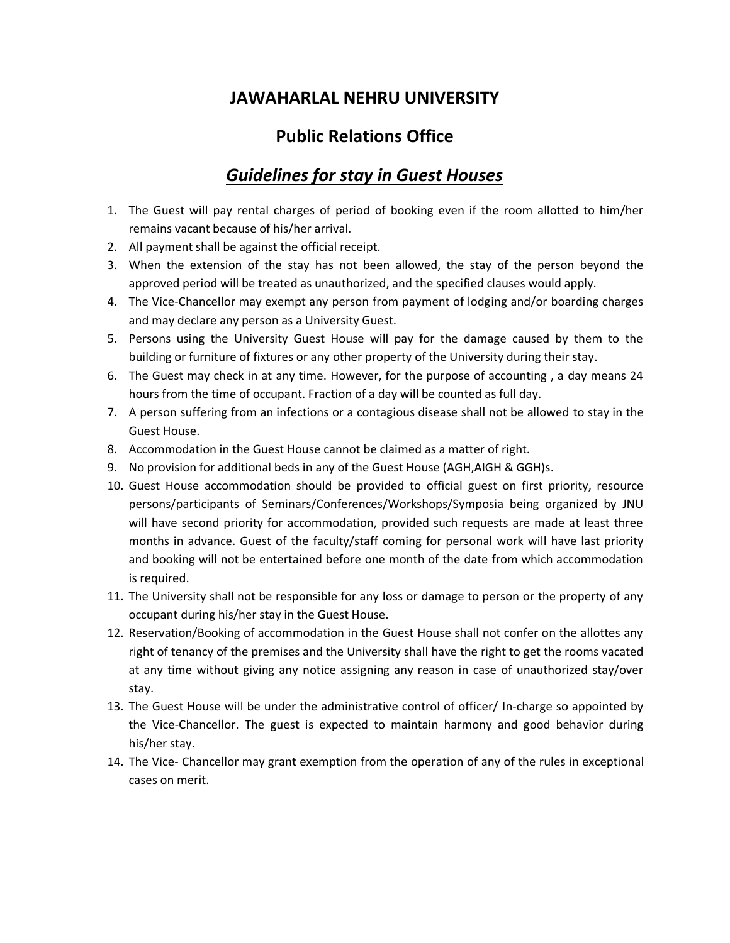# **JAWAHARLAL NEHRU UNIVERSITY**

# **Public Relations Office**

# *Guidelines for stay in Guest Houses*

- 1. The Guest will pay rental charges of period of booking even if the room allotted to him/her remains vacant because of his/her arrival.
- 2. All payment shall be against the official receipt.
- 3. When the extension of the stay has not been allowed, the stay of the person beyond the approved period will be treated as unauthorized, and the specified clauses would apply.
- 4. The Vice-Chancellor may exempt any person from payment of lodging and/or boarding charges and may declare any person as a University Guest.
- 5. Persons using the University Guest House will pay for the damage caused by them to the building or furniture of fixtures or any other property of the University during their stay.
- 6. The Guest may check in at any time. However, for the purpose of accounting , a day means 24 hours from the time of occupant. Fraction of a day will be counted as full day.
- 7. A person suffering from an infections or a contagious disease shall not be allowed to stay in the Guest House.
- 8. Accommodation in the Guest House cannot be claimed as a matter of right.
- 9. No provision for additional beds in any of the Guest House (AGH,AIGH & GGH)s.
- 10. Guest House accommodation should be provided to official guest on first priority, resource persons/participants of Seminars/Conferences/Workshops/Symposia being organized by JNU will have second priority for accommodation, provided such requests are made at least three months in advance. Guest of the faculty/staff coming for personal work will have last priority and booking will not be entertained before one month of the date from which accommodation is required.
- 11. The University shall not be responsible for any loss or damage to person or the property of any occupant during his/her stay in the Guest House.
- 12. Reservation/Booking of accommodation in the Guest House shall not confer on the allottes any right of tenancy of the premises and the University shall have the right to get the rooms vacated at any time without giving any notice assigning any reason in case of unauthorized stay/over stay.
- 13. The Guest House will be under the administrative control of officer/ In-charge so appointed by the Vice-Chancellor. The guest is expected to maintain harmony and good behavior during his/her stay.
- 14. The Vice- Chancellor may grant exemption from the operation of any of the rules in exceptional cases on merit.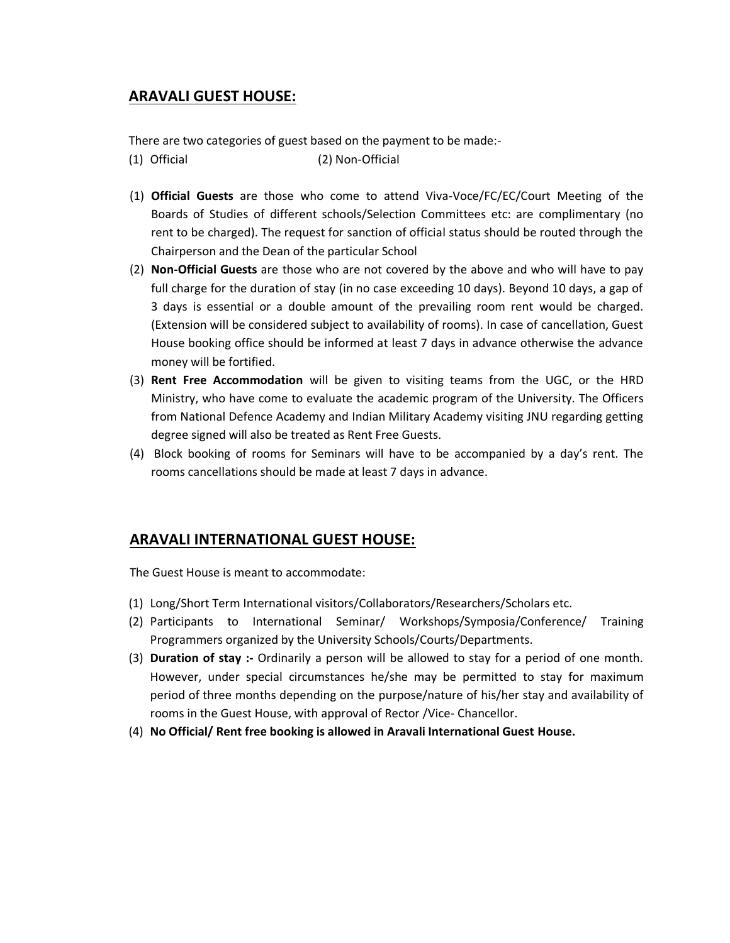#### **ARAVALI GUEST HOUSE:**

There are two categories of guest based on the payment to be made:-

- (1) Official (2) Non-Official
- (1) **Official Guests** are those who come to attend Viva-Voce/FC/EC/Court Meeting of the Boards of Studies of different schools/Selection Committees etc: are complimentary (no rent to be charged). The request for sanction of official status should be routed through the Chairperson and the Dean of the particular School
- (2) **Non-Official Guests** are those who are not covered by the above and who will have to pay full charge for the duration of stay (in no case exceeding 10 days). Beyond 10 days, a gap of 3 days is essential or a double amount of the prevailing room rent would be charged. (Extension will be considered subject to availability of rooms). In case of cancellation, Guest House booking office should be informed at least 7 days in advance otherwise the advance money will be fortified.
- (3) **Rent Free Accommodation** will be given to visiting teams from the UGC, or the HRD Ministry, who have come to evaluate the academic program of the University. The Officers from National Defence Academy and Indian Military Academy visiting JNU regarding getting degree signed will also be treated as Rent Free Guests.
- (4) Block booking of rooms for Seminars will have to be accompanied by a day's rent. The rooms cancellations should be made at least 7 days in advance.

#### **ARAVALI INTERNATIONAL GUEST HOUSE:**

The Guest House is meant to accommodate:

- (1) Long/Short Term International visitors/Collaborators/Researchers/Scholars etc.
- (2) Participants to International Seminar/ Workshops/Symposia/Conference/ Training Programmers organized by the University Schools/Courts/Departments.
- (3) **Duration of stay :-** Ordinarily a person will be allowed to stay for a period of one month. However, under special circumstances he/she may be permitted to stay for maximum period of three months depending on the purpose/nature of his/her stay and availability of rooms in the Guest House, with approval of Rector /Vice- Chancellor.
- (4) **No Official/ Rent free booking is allowed in Aravali International Guest House.**